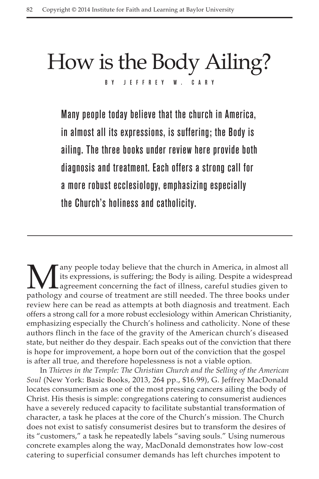## How is the Body Ailing? BY JEFFREY

Many people today believe that the church in America, in almost all its expressions, is suffering; the Body is ailing. The three books under review here provide both diagnosis and treatment. Each offers a strong call for a more robust ecclesiology, emphasizing especially the Church's holiness and catholicity.

any people today believe that the church in America, in almost all its expressions, is suffering; the Body is ailing. Despite a widespread agreement concerning the fact of illness, careful studies given to pathology and course of treatment are still needed. The three books under review here can be read as attempts at both diagnosis and treatment. Each offers a strong call for a more robust ecclesiology within American Christianity, emphasizing especially the Church's holiness and catholicity. None of these authors flinch in the face of the gravity of the American church's diseased state, but neither do they despair. Each speaks out of the conviction that there is hope for improvement, a hope born out of the conviction that the gospel is after all true, and therefore hopelessness is not a viable option.

In *Thieves in the Temple: The Christian Church and the Selling of the American Soul* (New York: Basic Books, 2013, 264 pp., \$16.99), G. Jeffrey MacDonald locates consumerism as one of the most pressing cancers ailing the body of Christ. His thesis is simple: congregations catering to consumerist audiences have a severely reduced capacity to facilitate substantial transformation of character, a task he places at the core of the Church's mission. The Church does not exist to satisfy consumerist desires but to transform the desires of its "customers," a task he repeatedly labels "saving souls." Using numerous concrete examples along the way, MacDonald demonstrates how low-cost catering to superficial consumer demands has left churches impotent to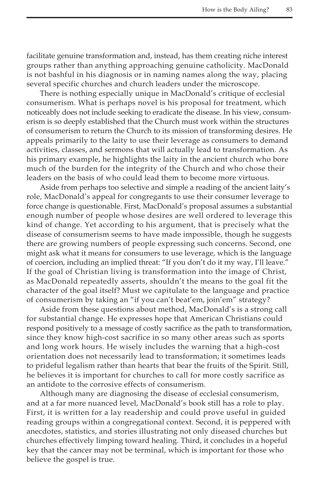facilitate genuine transformation and, instead, has them creating niche interest groups rather than anything approaching genuine catholicity. MacDonald is not bashful in his diagnosis or in naming names along the way, placing several specific churches and church leaders under the microscope.

There is nothing especially unique in MacDonald's critique of ecclesial consumerism. What is perhaps novel is his proposal for treatment, which noticeably does not include seeking to eradicate the disease. In his view, consumerism is so deeply established that the Church must work within the structures of consumerism to return the Church to its mission of transforming desires. He appeals primarily to the laity to use their leverage as consumers to demand activities, classes, and sermons that will actually lead to transformation. As his primary example, he highlights the laity in the ancient church who bore much of the burden for the integrity of the Church and who chose their leaders on the basis of who could lead them to become more virtuous.

Aside from perhaps too selective and simple a reading of the ancient laity's role, MacDonald's appeal for congregants to use their consumer leverage to force change is questionable. First, MacDonald's proposal assumes a substantial enough number of people whose desires are well ordered to leverage this kind of change. Yet according to his argument, that is precisely what the disease of consumerism seems to have made impossible, though he suggests there are growing numbers of people expressing such concerns. Second, one might ask what it means for consumers to use leverage, which is the language of coercion, including an implied threat: "If you don't do it my way, I'll leave." If the goal of Christian living is transformation into the image of Christ, as MacDonald repeatedly asserts, shouldn't the means to the goal fit the character of the goal itself? Must we capitulate to the language and practice of consumerism by taking an "if you can't beat'em, join'em" strategy?

Aside from these questions about method, MacDonald's is a strong call for substantial change. He expresses hope that American Christians could respond positively to a message of costly sacrifice as the path to transformation, since they know high-cost sacrifice in so many other areas such as sports and long work hours. He wisely includes the warning that a high-cost orientation does not necessarily lead to transformation; it sometimes leads to prideful legalism rather than hearts that bear the fruits of the Spirit. Still, he believes it is important for churches to call for more costly sacrifice as an antidote to the corrosive effects of consumerism.

Although many are diagnosing the disease of ecclesial consumerism, and at a far more nuanced level, MacDonald's book still has a role to play. First, it is written for a lay readership and could prove useful in guided reading groups within a congregational context. Second, it is peppered with anecdotes, statistics, and stories illustrating not only diseased churches but churches effectively limping toward healing. Third, it concludes in a hopeful key that the cancer may not be terminal, which is important for those who believe the gospel is true.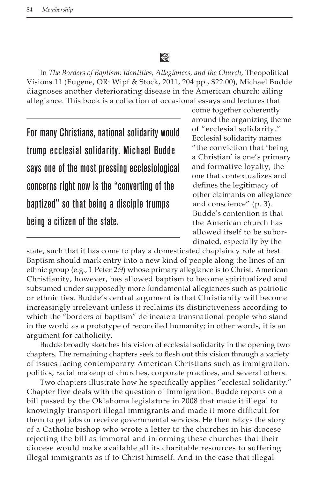## 缀

In *The Borders of Baptism: Identities, Allegiances, and the Church*, Theopolitical Visions 11 (Eugene, OR: Wipf & Stock, 2011, 204 pp., \$22.00), Michael Budde diagnoses another deteriorating disease in the American church: ailing allegiance. This book is a collection of occasional essays and lectures that

For many Christians, national solidarity would trump ecclesial solidarity. Michael Budde says one of the most pressing ecclesiological concerns right now is the "converting of the baptized" so that being a disciple trumps being a citizen of the state.

come together coherently around the organizing theme of "ecclesial solidarity." Ecclesial solidarity names "the conviction that 'being a Christian' is one's primary and formative loyalty, the one that contextualizes and defines the legitimacy of other claimants on allegiance and conscience" (p. 3). Budde's contention is that the American church has allowed itself to be subordinated, especially by the

state, such that it has come to play a domesticated chaplaincy role at best. Baptism should mark entry into a new kind of people along the lines of an ethnic group (e.g., 1 Peter 2:9) whose primary allegiance is to Christ. American Christianity, however, has allowed baptism to become spiritualized and subsumed under supposedly more fundamental allegiances such as patriotic or ethnic ties. Budde's central argument is that Christianity will become increasingly irrelevant unless it reclaims its distinctiveness according to which the "borders of baptism" delineate a transnational people who stand in the world as a prototype of reconciled humanity; in other words, it is an argument for catholicity.

Budde broadly sketches his vision of ecclesial solidarity in the opening two chapters. The remaining chapters seek to flesh out this vision through a variety of issues facing contemporary American Christians such as immigration, politics, racial makeup of churches, corporate practices, and several others.

Two chapters illustrate how he specifically applies "ecclesial solidarity." Chapter five deals with the question of immigration. Budde reports on a bill passed by the Oklahoma legislature in 2008 that made it illegal to knowingly transport illegal immigrants and made it more difficult for them to get jobs or receive governmental services. He then relays the story of a Catholic bishop who wrote a letter to the churches in his diocese rejecting the bill as immoral and informing these churches that their diocese would make available all its charitable resources to suffering illegal immigrants as if to Christ himself. And in the case that illegal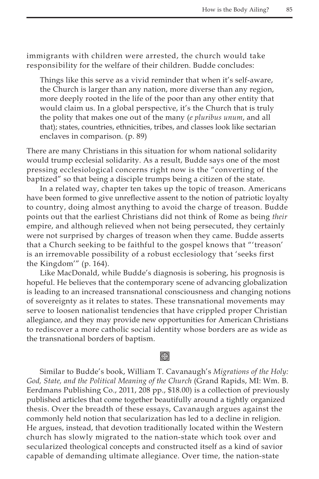immigrants with children were arrested, the church would take responsibility for the welfare of their children. Budde concludes:

Things like this serve as a vivid reminder that when it's self-aware, the Church is larger than any nation, more diverse than any region, more deeply rooted in the life of the poor than any other entity that would claim us. In a global perspective, it's the Church that is truly the polity that makes one out of the many (*e pluribus unum*, and all that); states, countries, ethnicities, tribes, and classes look like sectarian enclaves in comparison. (p. 89)

There are many Christians in this situation for whom national solidarity would trump ecclesial solidarity. As a result, Budde says one of the most pressing ecclesiological concerns right now is the "converting of the baptized" so that being a disciple trumps being a citizen of the state.

In a related way, chapter ten takes up the topic of treason. Americans have been formed to give unreflective assent to the notion of patriotic loyalty to country, doing almost anything to avoid the charge of treason. Budde points out that the earliest Christians did not think of Rome as being *their* empire, and although relieved when not being persecuted, they certainly were not surprised by charges of treason when they came. Budde asserts that a Church seeking to be faithful to the gospel knows that "'treason' is an irremovable possibility of a robust ecclesiology that 'seeks first the Kingdom'" (p. 164).

Like MacDonald, while Budde's diagnosis is sobering, his prognosis is hopeful. He believes that the contemporary scene of advancing globalization is leading to an increased transnational consciousness and changing notions of sovereignty as it relates to states. These transnational movements may serve to loosen nationalist tendencies that have crippled proper Christian allegiance, and they may provide new opportunities for American Christians to rediscover a more catholic social identity whose borders are as wide as the transnational borders of baptism.

## **⊗**

Similar to Budde's book, William T. Cavanaugh's *Migrations of the Holy: God, State, and the Political Meaning of the Church* (Grand Rapids, MI: Wm. B. Eerdmans Publishing Co., 2011, 208 pp., \$18.00) is a collection of previously published articles that come together beautifully around a tightly organized thesis. Over the breadth of these essays, Cavanaugh argues against the commonly held notion that secularization has led to a decline in religion. He argues, instead, that devotion traditionally located within the Western church has slowly migrated to the nation-state which took over and secularized theological concepts and constructed itself as a kind of savior capable of demanding ultimate allegiance. Over time, the nation-state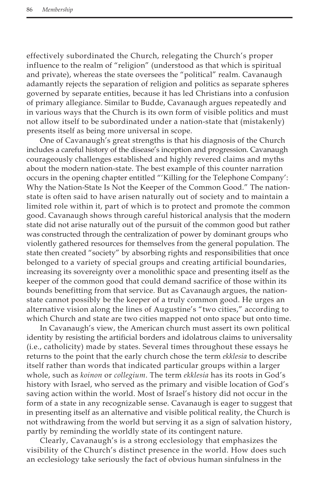effectively subordinated the Church, relegating the Church's proper influence to the realm of "religion" (understood as that which is spiritual and private), whereas the state oversees the "political" realm. Cavanaugh adamantly rejects the separation of religion and politics as separate spheres governed by separate entities, because it has led Christians into a confusion of primary allegiance. Similar to Budde, Cavanaugh argues repeatedly and in various ways that the Church is its own form of visible politics and must not allow itself to be subordinated under a nation-state that (mistakenly) presents itself as being more universal in scope.

One of Cavanaugh's great strengths is that his diagnosis of the Church includes a careful history of the disease's inception and progression. Cavanaugh courageously challenges established and highly revered claims and myths about the modern nation-state. The best example of this counter narration occurs in the opening chapter entitled "'Killing for the Telephone Company': Why the Nation-State Is Not the Keeper of the Common Good." The nationstate is often said to have arisen naturally out of society and to maintain a limited role within it, part of which is to protect and promote the common good. Cavanaugh shows through careful historical analysis that the modern state did not arise naturally out of the pursuit of the common good but rather was constructed through the centralization of power by dominant groups who violently gathered resources for themselves from the general population. The state then created "society" by absorbing rights and responsibilities that once belonged to a variety of special groups and creating artificial boundaries, increasing its sovereignty over a monolithic space and presenting itself as the keeper of the common good that could demand sacrifice of those within its bounds benefitting from that service. But as Cavanaugh argues, the nationstate cannot possibly be the keeper of a truly common good. He urges an alternative vision along the lines of Augustine's "two cities," according to which Church and state are two cities mapped not onto space but onto time.

In Cavanaugh's view, the American church must assert its own political identity by resisting the artificial borders and idolatrous claims to universality (i.e., catholicity) made by states. Several times throughout these essays he returns to the point that the early church chose the term *ekklesia* to describe itself rather than words that indicated particular groups within a larger whole, such as *koinon* or *collegium*. The term *ekklesia* has its roots in God's history with Israel, who served as the primary and visible location of God's saving action within the world. Most of Israel's history did not occur in the form of a state in any recognizable sense. Cavanaugh is eager to suggest that in presenting itself as an alternative and visible political reality, the Church is not withdrawing from the world but serving it as a sign of salvation history, partly by reminding the worldly state of its contingent nature.

Clearly, Cavanaugh's is a strong ecclesiology that emphasizes the visibility of the Church's distinct presence in the world. How does such an ecclesiology take seriously the fact of obvious human sinfulness in the